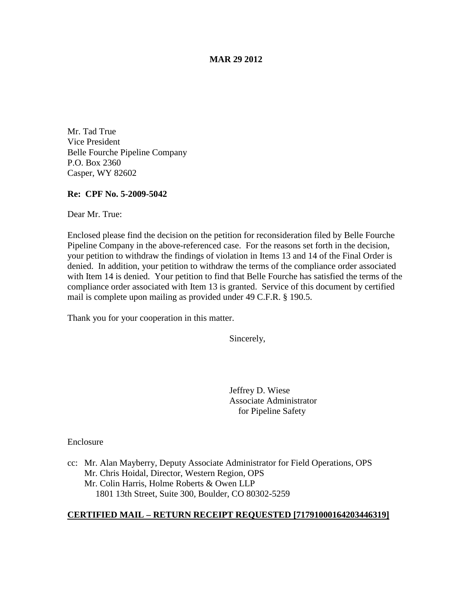### **MAR 29 2012**

Mr. Tad True Vice President Belle Fourche Pipeline Company P.O. Box 2360 Casper, WY 82602

### **Re: CPF No. 5-2009-5042**

Dear Mr. True:

Enclosed please find the decision on the petition for reconsideration filed by Belle Fourche Pipeline Company in the above-referenced case. For the reasons set forth in the decision, your petition to withdraw the findings of violation in Items 13 and 14 of the Final Order is denied. In addition, your petition to withdraw the terms of the compliance order associated with Item 14 is denied. Your petition to find that Belle Fourche has satisfied the terms of the compliance order associated with Item 13 is granted. Service of this document by certified mail is complete upon mailing as provided under 49 C.F.R. § 190.5.

Thank you for your cooperation in this matter.

Sincerely,

Jeffrey D. Wiese Associate Administrator for Pipeline Safety

**Enclosure** 

cc: Mr. Alan Mayberry, Deputy Associate Administrator for Field Operations, OPS Mr. Chris Hoidal, Director, Western Region, OPS Mr. Colin Harris, Holme Roberts & Owen LLP 1801 13th Street, Suite 300, Boulder, CO 80302-5259

## **CERTIFIED MAIL – RETURN RECEIPT REQUESTED [71791000164203446319]**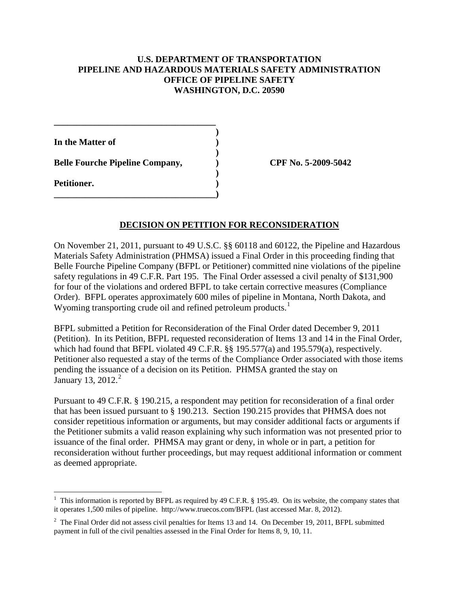## **U.S. DEPARTMENT OF TRANSPORTATION PIPELINE AND HAZARDOUS MATERIALS SAFETY ADMINISTRATION OFFICE OF PIPELINE SAFETY WASHINGTON, D.C. 20590**

**)**

**)**

**)**

**In the Matter of )**

**Belle Fourche Pipeline Company, ) CPF No. 5-2009-5042**

**\_\_\_\_\_\_\_\_\_\_\_\_\_\_\_\_\_\_\_\_\_\_\_\_\_\_\_\_\_\_\_\_\_\_\_\_**

**\_\_\_\_\_\_\_\_\_\_\_\_\_\_\_\_\_\_\_\_\_\_\_\_\_\_\_\_\_\_\_\_\_\_\_\_)**

**Petitioner. )**

# **DECISION ON PETITION FOR RECONSIDERATION**

On November 21, 2011, pursuant to 49 U.S.C. §§ 60118 and 60122, the Pipeline and Hazardous Materials Safety Administration (PHMSA) issued a Final Order in this proceeding finding that Belle Fourche Pipeline Company (BFPL or Petitioner) committed nine violations of the pipeline safety regulations in 49 C.F.R. Part 195. The Final Order assessed a civil penalty of \$131,900 for four of the violations and ordered BFPL to take certain corrective measures (Compliance Order). BFPL operates approximately 600 miles of pipeline in Montana, North Dakota, and Wyoming transporting crude oil and refined petroleum products.<sup>[1](#page-1-0)</sup>

BFPL submitted a Petition for Reconsideration of the Final Order dated December 9, 2011 (Petition). In its Petition, BFPL requested reconsideration of Items 13 and 14 in the Final Order, which had found that BFPL violated 49 C.F.R. §§ 195.577(a) and 195.579(a), respectively. Petitioner also requested a stay of the terms of the Compliance Order associated with those items pending the issuance of a decision on its Petition. PHMSA granted the stay on January 13, [2](#page-1-1)012.<sup>2</sup>

Pursuant to 49 C.F.R. § 190.215, a respondent may petition for reconsideration of a final order that has been issued pursuant to § 190.213. Section 190.215 provides that PHMSA does not consider repetitious information or arguments, but may consider additional facts or arguments if the Petitioner submits a valid reason explaining why such information was not presented prior to issuance of the final order. PHMSA may grant or deny, in whole or in part, a petition for reconsideration without further proceedings, but may request additional information or comment as deemed appropriate.

<span id="page-1-0"></span> $\frac{1}{1}$ <sup>1</sup> This information is reported by BFPL as required by 49 C.F.R.  $\S$  195.49. On its website, the company states that it operates 1,500 miles of pipeline. http://www.truecos.com/BFPL (last accessed Mar. 8, 2012).

<span id="page-1-1"></span> $2$  The Final Order did not assess civil penalties for Items 13 and 14. On December 19, 2011, BFPL submitted payment in full of the civil penalties assessed in the Final Order for Items 8, 9, 10, 11.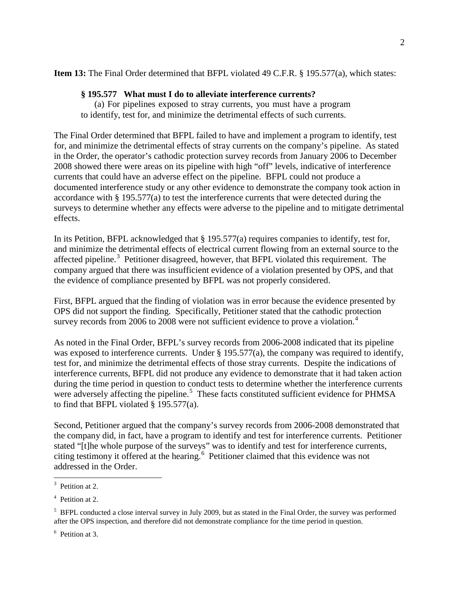**Item 13:** The Final Order determined that BFPL violated 49 C.F.R. § 195.577(a), which states:

# **§ 195.577 What must I do to alleviate interference currents?**

(a) For pipelines exposed to stray currents, you must have a program to identify, test for, and minimize the detrimental effects of such currents.

The Final Order determined that BFPL failed to have and implement a program to identify, test for, and minimize the detrimental effects of stray currents on the company's pipeline. As stated in the Order, the operator's cathodic protection survey records from January 2006 to December 2008 showed there were areas on its pipeline with high "off" levels, indicative of interference currents that could have an adverse effect on the pipeline. BFPL could not produce a documented interference study or any other evidence to demonstrate the company took action in accordance with § 195.577(a) to test the interference currents that were detected during the surveys to determine whether any effects were adverse to the pipeline and to mitigate detrimental effects.

In its Petition, BFPL acknowledged that § 195.577(a) requires companies to identify, test for, and minimize the detrimental effects of electrical current flowing from an external source to the affected pipeline.<sup>[3](#page-2-0)</sup> Petitioner disagreed, however, that BFPL violated this requirement. The company argued that there was insufficient evidence of a violation presented by OPS, and that the evidence of compliance presented by BFPL was not properly considered.

First, BFPL argued that the finding of violation was in error because the evidence presented by OPS did not support the finding. Specifically, Petitioner stated that the cathodic protection survey records from 2006 to 2008 were not sufficient evidence to prove a violation.<sup>[4](#page-2-1)</sup>

As noted in the Final Order, BFPL's survey records from 2006-2008 indicated that its pipeline was exposed to interference currents. Under § 195.577(a), the company was required to identify, test for, and minimize the detrimental effects of those stray currents. Despite the indications of interference currents, BFPL did not produce any evidence to demonstrate that it had taken action during the time period in question to conduct tests to determine whether the interference currents were adversely affecting the pipeline.<sup>[5](#page-2-2)</sup> These facts constituted sufficient evidence for PHMSA to find that BFPL violated § 195.577(a).

Second, Petitioner argued that the company's survey records from 2006-2008 demonstrated that the company did, in fact, have a program to identify and test for interference currents. Petitioner stated "[t]he whole purpose of the surveys" was to identify and test for interference currents, citing testimony it offered at the hearing.<sup>[6](#page-2-3)</sup> Petitioner claimed that this evidence was not addressed in the Order.

<span id="page-2-0"></span><sup>&</sup>lt;sup>2</sup><br>3  $3$  Petition at 2.

<span id="page-2-1"></span><sup>4</sup> Petition at 2.

<span id="page-2-2"></span><sup>&</sup>lt;sup>5</sup> BFPL conducted a close interval survey in July 2009, but as stated in the Final Order, the survey was performed after the OPS inspection, and therefore did not demonstrate compliance for the time period in question.

<span id="page-2-3"></span><sup>6</sup> Petition at 3.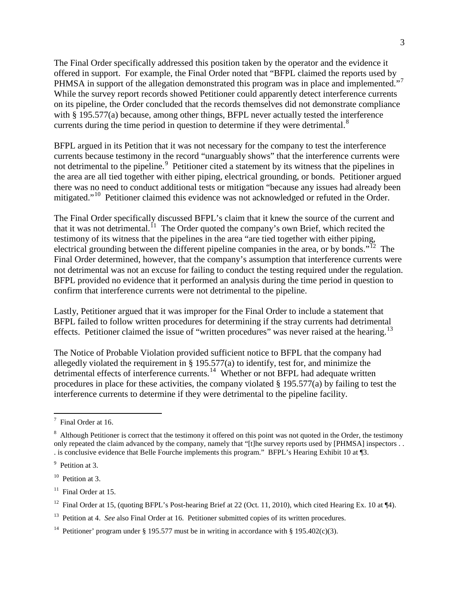The Final Order specifically addressed this position taken by the operator and the evidence it offered in support. For example, the Final Order noted that "BFPL claimed the reports used by PHMSA in support of the allegation demonstrated this program was in place and implemented."<sup>[7](#page-3-0)</sup> While the survey report records showed Petitioner could apparently detect interference currents on its pipeline, the Order concluded that the records themselves did not demonstrate compliance with § 195.577(a) because, among other things, BFPL never actually tested the interference currents during the time period in question to determine if they were detrimental.<sup>[8](#page-3-1)</sup>

BFPL argued in its Petition that it was not necessary for the company to test the interference currents because testimony in the record "unarguably shows" that the interference currents were not detrimental to the pipeline.<sup>[9](#page-3-2)</sup> Petitioner cited a statement by its witness that the pipelines in the area are all tied together with either piping, electrical grounding, or bonds. Petitioner argued there was no need to conduct additional tests or mitigation "because any issues had already been mitigated."<sup>[10](#page-3-3)</sup> Petitioner claimed this evidence was not acknowledged or refuted in the Order.

The Final Order specifically discussed BFPL's claim that it knew the source of the current and that it was not detrimental.<sup>11</sup> The Order quoted the company's own Brief, which recited the testimony of its witness that the pipelines in the area "are tied together with either piping, electrical grounding between the different pipeline companies in the area, or by bonds."<sup>12</sup> The Final Order determined, however, that the company's assumption that interference currents were not detrimental was not an excuse for failing to conduct the testing required under the regulation. BFPL provided no evidence that it performed an analysis during the time period in question to confirm that interference currents were not detrimental to the pipeline.

Lastly, Petitioner argued that it was improper for the Final Order to include a statement that BFPL failed to follow written procedures for determining if the stray currents had detrimental effects. Petitioner claimed the issue of "written procedures" was never raised at the hearing.<sup>[13](#page-3-6)</sup>

The Notice of Probable Violation provided sufficient notice to BFPL that the company had allegedly violated the requirement in § 195.577(a) to identify, test for, and minimize the detrimental effects of interference currents.<sup>[14](#page-3-7)</sup> Whether or not BFPL had adequate written procedures in place for these activities, the company violated § 195.577(a) by failing to test the interference currents to determine if they were detrimental to the pipeline facility.

<span id="page-3-0"></span><sup>-&</sup>lt;br>7 <sup>7</sup> Final Order at 16.

<span id="page-3-1"></span> $8$  Although Petitioner is correct that the testimony it offered on this point was not quoted in the Order, the testimony only repeated the claim advanced by the company, namely that "[t]he survey reports used by [PHMSA] inspectors . . . is conclusive evidence that Belle Fourche implements this program." BFPL's Hearing Exhibit 10 at ¶3.

<span id="page-3-2"></span><sup>&</sup>lt;sup>9</sup> Petition at 3.

<span id="page-3-3"></span> $10$  Petition at 3.

<span id="page-3-4"></span><sup>&</sup>lt;sup>11</sup> Final Order at 15.

<span id="page-3-5"></span><sup>&</sup>lt;sup>12</sup> Final Order at 15, (quoting BFPL's Post-hearing Brief at 22 (Oct. 11, 2010), which cited Hearing Ex. 10 at  $\P$ 4).

<span id="page-3-6"></span><sup>&</sup>lt;sup>13</sup> Petition at 4. *See* also Final Order at 16. Petitioner submitted copies of its written procedures.

<span id="page-3-7"></span><sup>&</sup>lt;sup>14</sup> Petitioner' program under § 195.577 must be in writing in accordance with § 195.402(c)(3).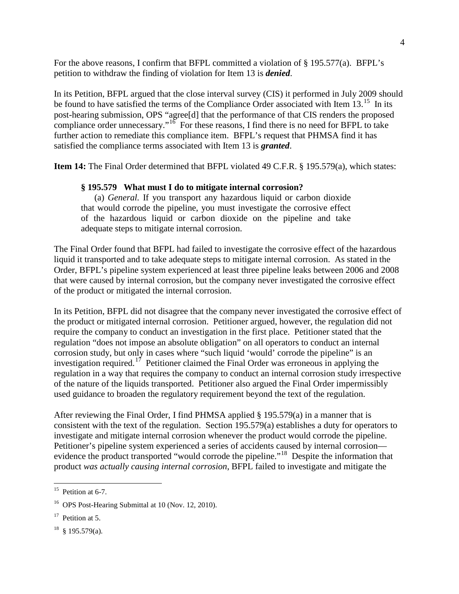For the above reasons, I confirm that BFPL committed a violation of § 195.577(a). BFPL's petition to withdraw the finding of violation for Item 13 is *denied*.

In its Petition, BFPL argued that the close interval survey (CIS) it performed in July 2009 should be found to have satisfied the terms of the Compliance Order associated with Item 13.<sup>15</sup> In its post-hearing submission, OPS "agree[d] that the performance of that CIS renders the proposed compliance order unnecessary."<sup>[16](#page-4-1)</sup> For these reasons, I find there is no need for BFPL to take further action to remediate this compliance item. BFPL's request that PHMSA find it has satisfied the compliance terms associated with Item 13 is *granted*.

**Item 14:** The Final Order determined that BFPL violated 49 C.F.R. § 195.579(a), which states:

## **§ 195.579 What must I do to mitigate internal corrosion?**

(a) *General.* If you transport any hazardous liquid or carbon dioxide that would corrode the pipeline, you must investigate the corrosive effect of the hazardous liquid or carbon dioxide on the pipeline and take adequate steps to mitigate internal corrosion.

The Final Order found that BFPL had failed to investigate the corrosive effect of the hazardous liquid it transported and to take adequate steps to mitigate internal corrosion. As stated in the Order, BFPL's pipeline system experienced at least three pipeline leaks between 2006 and 2008 that were caused by internal corrosion, but the company never investigated the corrosive effect of the product or mitigated the internal corrosion.

In its Petition, BFPL did not disagree that the company never investigated the corrosive effect of the product or mitigated internal corrosion. Petitioner argued, however, the regulation did not require the company to conduct an investigation in the first place. Petitioner stated that the regulation "does not impose an absolute obligation" on all operators to conduct an internal corrosion study, but only in cases where "such liquid 'would' corrode the pipeline" is an investigation required.<sup>17</sup> Petitioner claimed the Final Order was erroneous in applying the regulation in a way that requires the company to conduct an internal corrosion study irrespective of the nature of the liquids transported. Petitioner also argued the Final Order impermissibly used guidance to broaden the regulatory requirement beyond the text of the regulation.

After reviewing the Final Order, I find PHMSA applied § 195.579(a) in a manner that is consistent with the text of the regulation. Section 195.579(a) establishes a duty for operators to investigate and mitigate internal corrosion whenever the product would corrode the pipeline. Petitioner's pipeline system experienced a series of accidents caused by internal corrosion— evidence the product transported "would corrode the pipeline."<sup>[18](#page-4-3)</sup> Despite the information that product *was actually causing internal corrosion*, BFPL failed to investigate and mitigate the

<span id="page-4-0"></span> $15$  Petition at 6-7.

<span id="page-4-1"></span><sup>16</sup> OPS Post-Hearing Submittal at 10 (Nov. 12, 2010).

<span id="page-4-2"></span> $17$  Petition at 5.

<span id="page-4-3"></span> $18$  § 195.579(a).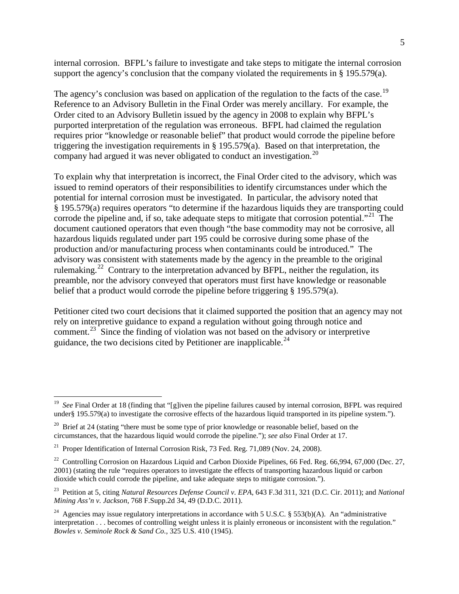internal corrosion. BFPL's failure to investigate and take steps to mitigate the internal corrosion support the agency's conclusion that the company violated the requirements in § 195.579(a).

The agency's conclusion was based on application of the regulation to the facts of the case.<sup>19</sup> Reference to an Advisory Bulletin in the Final Order was merely ancillary. For example, the Order cited to an Advisory Bulletin issued by the agency in 2008 to explain why BFPL's purported interpretation of the regulation was erroneous. BFPL had claimed the regulation requires prior "knowledge or reasonable belief" that product would corrode the pipeline before triggering the investigation requirements in § 195.579(a). Based on that interpretation, the company had argued it was never obligated to conduct an investigation. [20](#page-5-1) 

To explain why that interpretation is incorrect, the Final Order cited to the advisory, which was issued to remind operators of their responsibilities to identify circumstances under which the potential for internal corrosion must be investigated. In particular, the advisory noted that § 195.579(a) requires operators "to determine if the hazardous liquids they are transporting could corrode the pipeline and, if so, take adequate steps to mitigate that corrosion potential."<sup>21</sup> The document cautioned operators that even though "the base commodity may not be corrosive, all hazardous liquids regulated under part 195 could be corrosive during some phase of the production and/or manufacturing process when contaminants could be introduced." The advisory was consistent with statements made by the agency in the preamble to the original rulemaking.<sup>[22](#page-5-3)</sup> Contrary to the interpretation advanced by BFPL, neither the regulation, its preamble, nor the advisory conveyed that operators must first have knowledge or reasonable belief that a product would corrode the pipeline before triggering § 195.579(a).

Petitioner cited two court decisions that it claimed supported the position that an agency may not rely on interpretive guidance to expand a regulation without going through notice and comment.<sup>[23](#page-5-4)</sup> Since the finding of violation was not based on the advisory or interpretive guidance, the two decisions cited by Petitioner are inapplicable.<sup>[24](#page-5-5)</sup>

<span id="page-5-0"></span><sup>&</sup>lt;sup>19</sup> *See* Final Order at 18 (finding that "[g]iven the pipeline failures caused by internal corrosion, BFPL was required under§ 195.579(a) to investigate the corrosive effects of the hazardous liquid transported in its pipeline system.").

<span id="page-5-1"></span><sup>&</sup>lt;sup>20</sup> Brief at 24 (stating "there must be some type of prior knowledge or reasonable belief, based on the circumstances, that the hazardous liquid would corrode the pipeline."); *see also* Final Order at 17.

<span id="page-5-2"></span><sup>&</sup>lt;sup>21</sup> Proper Identification of Internal Corrosion Risk, 73 Fed. Reg. 71,089 (Nov. 24, 2008).

<span id="page-5-3"></span><sup>&</sup>lt;sup>22</sup> Controlling Corrosion on Hazardous Liquid and Carbon Dioxide Pipelines, 66 Fed. Reg. 66,994, 67,000 (Dec. 27, 2001) (stating the rule "requires operators to investigate the effects of transporting hazardous liquid or carbon dioxide which could corrode the pipeline, and take adequate steps to mitigate corrosion.").

<span id="page-5-4"></span><sup>23</sup> Petition at 5, citing *Natural Resources Defense Council v. EPA*, 643 F.3d 311, 321 (D.C. Cir. 2011); and *National Mining Ass'n v. Jackson*, 768 F.Supp.2d 34, 49 (D.D.C. 2011).

<span id="page-5-5"></span><sup>&</sup>lt;sup>24</sup> Agencies may issue regulatory interpretations in accordance with 5 U.S.C. § 553(b)(A). An "administrative interpretation . . . becomes of controlling weight unless it is plainly erroneous or inconsistent with the regulation." *Bowles v. Seminole Rock & Sand Co.*, 325 U.S. 410 (1945).